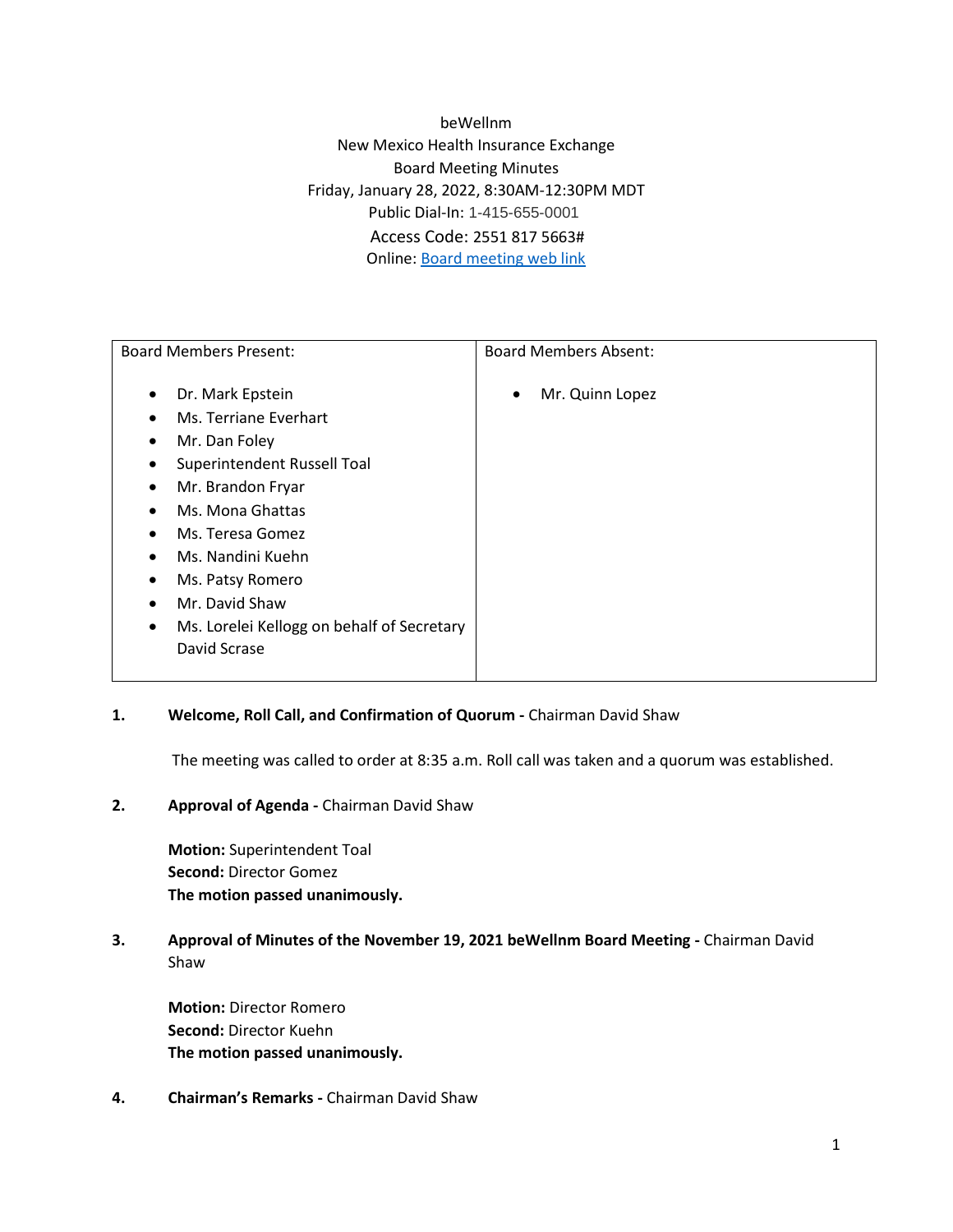beWellnm New Mexico Health Insurance Exchange Board Meeting Minutes Friday, January 28, 2022, 8:30AM-12:30PM MDT Public Dial-In: 1-415-655-0001 Access Code: 2551 817 5663# Online: [Board meeting web link](https://newmexicohealthinsuranceexchange.my.webex.com/newmexicohealthinsuranceexchange.my/j.php?MTID=mbc7644fc7845dd785cfe9e056c4e7466)

| <b>Board Members Present:</b>                                                                                                                                                                                                                                                                       | <b>Board Members Absent:</b> |
|-----------------------------------------------------------------------------------------------------------------------------------------------------------------------------------------------------------------------------------------------------------------------------------------------------|------------------------------|
| Dr. Mark Epstein<br>Ms. Terriane Everhart<br>Mr. Dan Foley<br>٠<br>Superintendent Russell Toal<br>Mr. Brandon Fryar<br>٠<br>Ms. Mona Ghattas<br>Ms. Teresa Gomez<br>Ms. Nandini Kuehn<br>Ms. Patsy Romero<br>٠<br>Mr. David Shaw<br>Ms. Lorelei Kellogg on behalf of Secretary<br>٠<br>David Scrase | Mr. Quinn Lopez<br>$\bullet$ |

# **1. Welcome, Roll Call, and Confirmation of Quorum -** Chairman David Shaw

The meeting was called to order at 8:35 a.m. Roll call was taken and a quorum was established.

#### **2. Approval of Agenda -** Chairman David Shaw

**Motion:** Superintendent Toal **Second:** Director Gomez **The motion passed unanimously.** 

# **3. Approval of Minutes of the November 19, 2021 beWellnm Board Meeting -** Chairman David Shaw

**Motion:** Director Romero **Second:** Director Kuehn **The motion passed unanimously.** 

#### **4. Chairman's Remarks -** Chairman David Shaw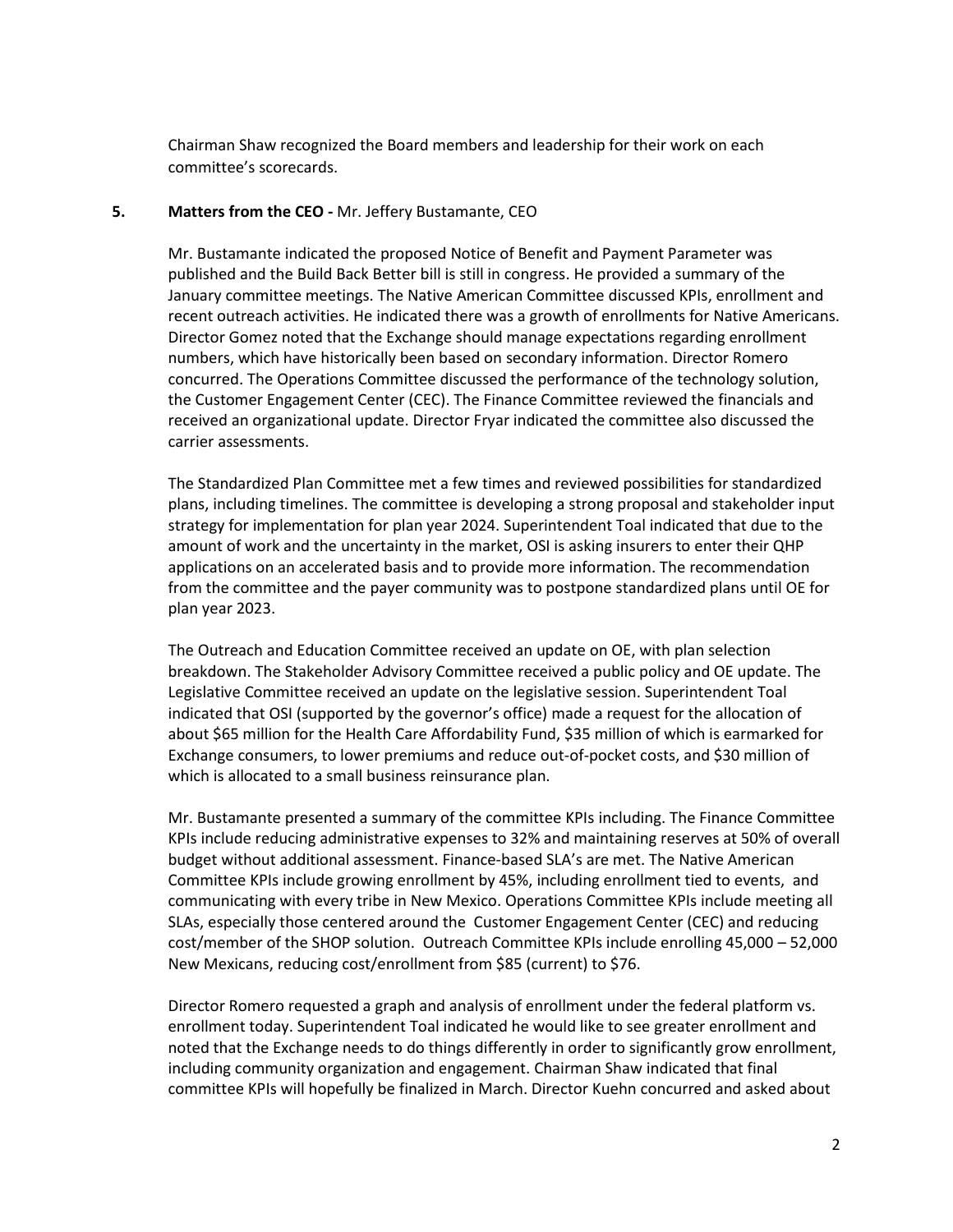Chairman Shaw recognized the Board members and leadership for their work on each committee's scorecards.

#### **5. Matters from the CEO -** Mr. Jeffery Bustamante, CEO

Mr. Bustamante indicated the proposed Notice of Benefit and Payment Parameter was published and the Build Back Better bill is still in congress. He provided a summary of the January committee meetings. The Native American Committee discussed KPIs, enrollment and recent outreach activities. He indicated there was a growth of enrollments for Native Americans. Director Gomez noted that the Exchange should manage expectations regarding enrollment numbers, which have historically been based on secondary information. Director Romero concurred. The Operations Committee discussed the performance of the technology solution, the Customer Engagement Center (CEC). The Finance Committee reviewed the financials and received an organizational update. Director Fryar indicated the committee also discussed the carrier assessments.

The Standardized Plan Committee met a few times and reviewed possibilities for standardized plans, including timelines. The committee is developing a strong proposal and stakeholder input strategy for implementation for plan year 2024. Superintendent Toal indicated that due to the amount of work and the uncertainty in the market, OSI is asking insurers to enter their QHP applications on an accelerated basis and to provide more information. The recommendation from the committee and the payer community was to postpone standardized plans until OE for plan year 2023.

The Outreach and Education Committee received an update on OE, with plan selection breakdown. The Stakeholder Advisory Committee received a public policy and OE update. The Legislative Committee received an update on the legislative session. Superintendent Toal indicated that OSI (supported by the governor's office) made a request for the allocation of about \$65 million for the Health Care Affordability Fund, \$35 million of which is earmarked for Exchange consumers, to lower premiums and reduce out-of-pocket costs, and \$30 million of which is allocated to a small business reinsurance plan.

Mr. Bustamante presented a summary of the committee KPIs including. The Finance Committee KPIs include reducing administrative expenses to 32% and maintaining reserves at 50% of overall budget without additional assessment. Finance-based SLA's are met. The Native American Committee KPIs include growing enrollment by 45%, including enrollment tied to events, and communicating with every tribe in New Mexico. Operations Committee KPIs include meeting all SLAs, especially those centered around the Customer Engagement Center (CEC) and reducing cost/member of the SHOP solution. Outreach Committee KPIs include enrolling 45,000 – 52,000 New Mexicans, reducing cost/enrollment from \$85 (current) to \$76.

Director Romero requested a graph and analysis of enrollment under the federal platform vs. enrollment today. Superintendent Toal indicated he would like to see greater enrollment and noted that the Exchange needs to do things differently in order to significantly grow enrollment, including community organization and engagement. Chairman Shaw indicated that final committee KPIs will hopefully be finalized in March. Director Kuehn concurred and asked about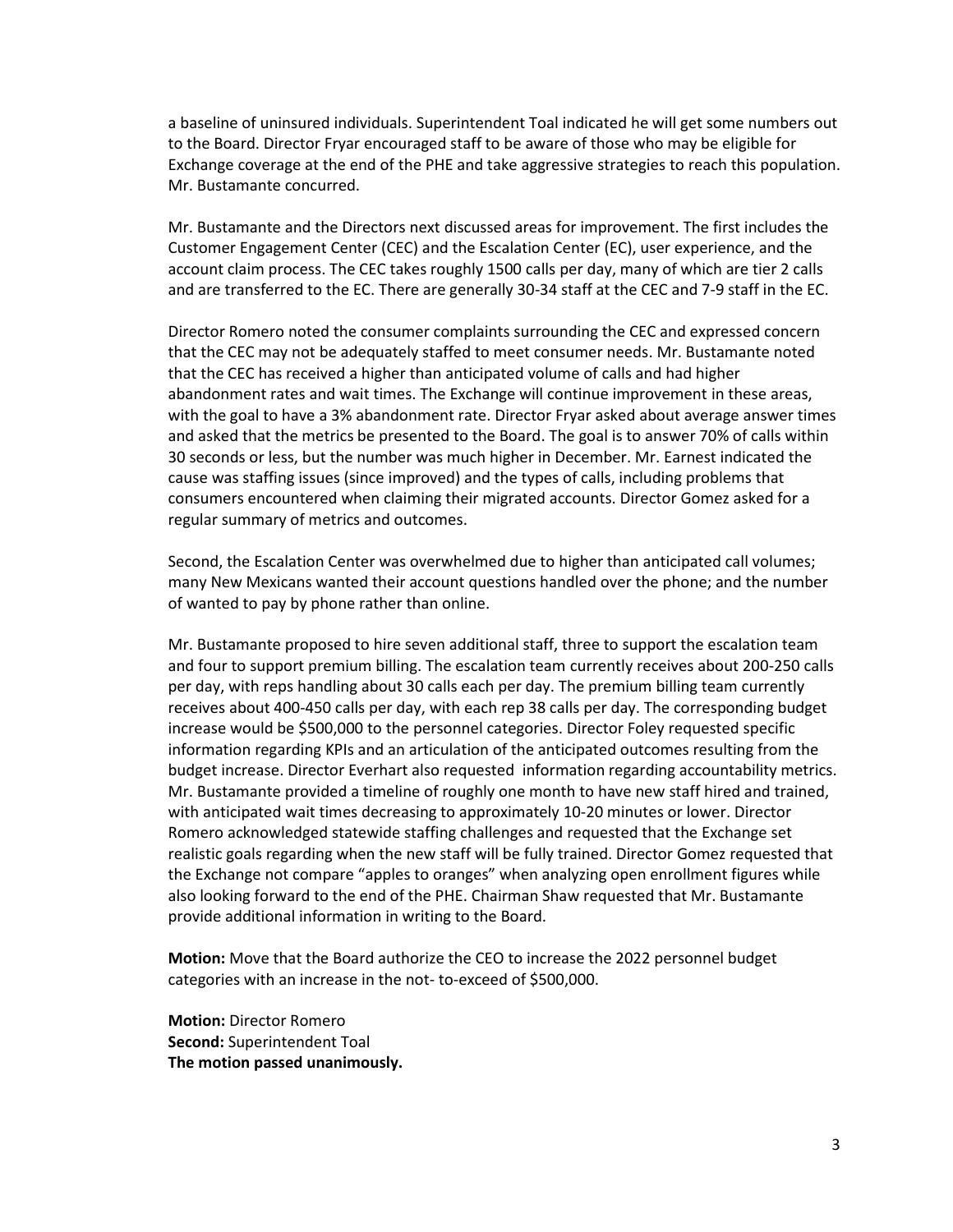a baseline of uninsured individuals. Superintendent Toal indicated he will get some numbers out to the Board. Director Fryar encouraged staff to be aware of those who may be eligible for Exchange coverage at the end of the PHE and take aggressive strategies to reach this population. Mr. Bustamante concurred.

Mr. Bustamante and the Directors next discussed areas for improvement. The first includes the Customer Engagement Center (CEC) and the Escalation Center (EC), user experience, and the account claim process. The CEC takes roughly 1500 calls per day, many of which are tier 2 calls and are transferred to the EC. There are generally 30-34 staff at the CEC and 7-9 staff in the EC.

Director Romero noted the consumer complaints surrounding the CEC and expressed concern that the CEC may not be adequately staffed to meet consumer needs. Mr. Bustamante noted that the CEC has received a higher than anticipated volume of calls and had higher abandonment rates and wait times. The Exchange will continue improvement in these areas, with the goal to have a 3% abandonment rate. Director Fryar asked about average answer times and asked that the metrics be presented to the Board. The goal is to answer 70% of calls within 30 seconds or less, but the number was much higher in December. Mr. Earnest indicated the cause was staffing issues (since improved) and the types of calls, including problems that consumers encountered when claiming their migrated accounts. Director Gomez asked for a regular summary of metrics and outcomes.

Second, the Escalation Center was overwhelmed due to higher than anticipated call volumes; many New Mexicans wanted their account questions handled over the phone; and the number of wanted to pay by phone rather than online.

Mr. Bustamante proposed to hire seven additional staff, three to support the escalation team and four to support premium billing. The escalation team currently receives about 200-250 calls per day, with reps handling about 30 calls each per day. The premium billing team currently receives about 400-450 calls per day, with each rep 38 calls per day. The corresponding budget increase would be \$500,000 to the personnel categories. Director Foley requested specific information regarding KPIs and an articulation of the anticipated outcomes resulting from the budget increase. Director Everhart also requested information regarding accountability metrics. Mr. Bustamante provided a timeline of roughly one month to have new staff hired and trained, with anticipated wait times decreasing to approximately 10-20 minutes or lower. Director Romero acknowledged statewide staffing challenges and requested that the Exchange set realistic goals regarding when the new staff will be fully trained. Director Gomez requested that the Exchange not compare "apples to oranges" when analyzing open enrollment figures while also looking forward to the end of the PHE. Chairman Shaw requested that Mr. Bustamante provide additional information in writing to the Board.

**Motion:** Move that the Board authorize the CEO to increase the 2022 personnel budget categories with an increase in the not- to-exceed of \$500,000.

**Motion:** Director Romero **Second:** Superintendent Toal **The motion passed unanimously.**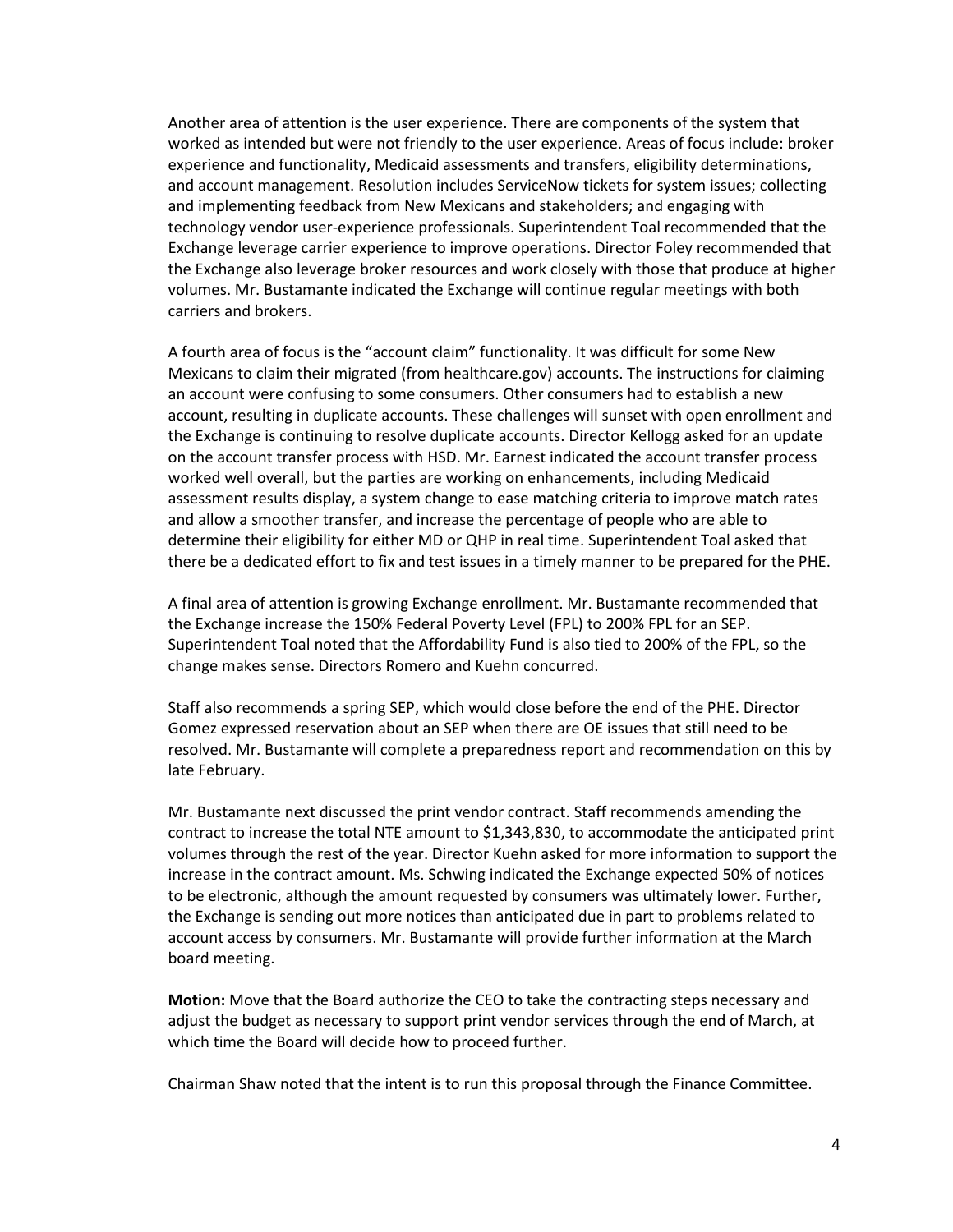Another area of attention is the user experience. There are components of the system that worked as intended but were not friendly to the user experience. Areas of focus include: broker experience and functionality, Medicaid assessments and transfers, eligibility determinations, and account management. Resolution includes ServiceNow tickets for system issues; collecting and implementing feedback from New Mexicans and stakeholders; and engaging with technology vendor user-experience professionals. Superintendent Toal recommended that the Exchange leverage carrier experience to improve operations. Director Foley recommended that the Exchange also leverage broker resources and work closely with those that produce at higher volumes. Mr. Bustamante indicated the Exchange will continue regular meetings with both carriers and brokers.

A fourth area of focus is the "account claim" functionality. It was difficult for some New Mexicans to claim their migrated (from healthcare.gov) accounts. The instructions for claiming an account were confusing to some consumers. Other consumers had to establish a new account, resulting in duplicate accounts. These challenges will sunset with open enrollment and the Exchange is continuing to resolve duplicate accounts. Director Kellogg asked for an update on the account transfer process with HSD. Mr. Earnest indicated the account transfer process worked well overall, but the parties are working on enhancements, including Medicaid assessment results display, a system change to ease matching criteria to improve match rates and allow a smoother transfer, and increase the percentage of people who are able to determine their eligibility for either MD or QHP in real time. Superintendent Toal asked that there be a dedicated effort to fix and test issues in a timely manner to be prepared for the PHE.

A final area of attention is growing Exchange enrollment. Mr. Bustamante recommended that the Exchange increase the 150% Federal Poverty Level (FPL) to 200% FPL for an SEP. Superintendent Toal noted that the Affordability Fund is also tied to 200% of the FPL, so the change makes sense. Directors Romero and Kuehn concurred.

Staff also recommends a spring SEP, which would close before the end of the PHE. Director Gomez expressed reservation about an SEP when there are OE issues that still need to be resolved. Mr. Bustamante will complete a preparedness report and recommendation on this by late February.

Mr. Bustamante next discussed the print vendor contract. Staff recommends amending the contract to increase the total NTE amount to \$1,343,830, to accommodate the anticipated print volumes through the rest of the year. Director Kuehn asked for more information to support the increase in the contract amount. Ms. Schwing indicated the Exchange expected 50% of notices to be electronic, although the amount requested by consumers was ultimately lower. Further, the Exchange is sending out more notices than anticipated due in part to problems related to account access by consumers. Mr. Bustamante will provide further information at the March board meeting.

**Motion:** Move that the Board authorize the CEO to take the contracting steps necessary and adjust the budget as necessary to support print vendor services through the end of March, at which time the Board will decide how to proceed further.

Chairman Shaw noted that the intent is to run this proposal through the Finance Committee.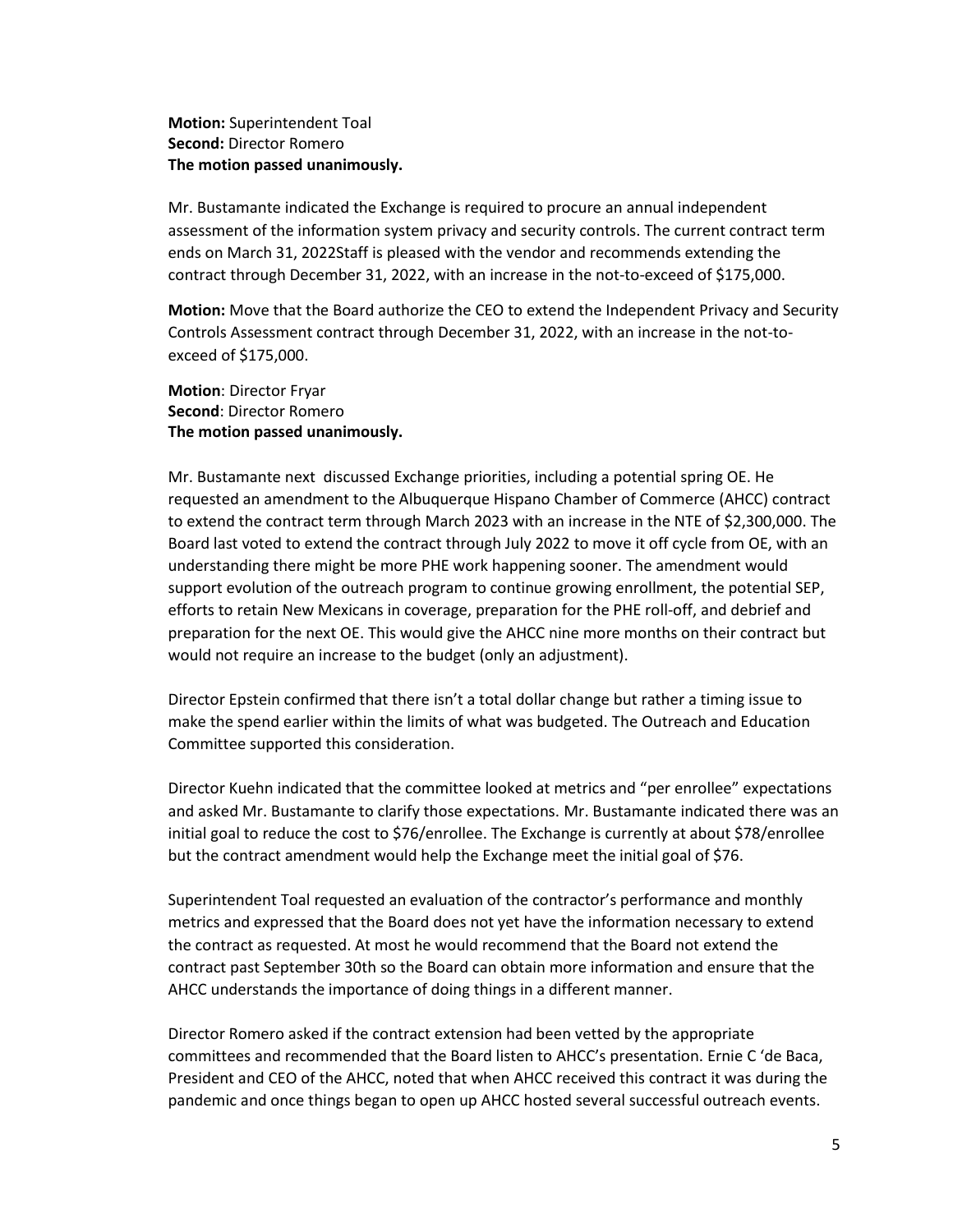# **Motion:** Superintendent Toal **Second:** Director Romero **The motion passed unanimously.**

Mr. Bustamante indicated the Exchange is required to procure an annual independent assessment of the information system privacy and security controls. The current contract term ends on March 31, 2022Staff is pleased with the vendor and recommends extending the contract through December 31, 2022, with an increase in the not-to-exceed of \$175,000.

**Motion:** Move that the Board authorize the CEO to extend the Independent Privacy and Security Controls Assessment contract through December 31, 2022, with an increase in the not-toexceed of \$175,000.

**Motion**: Director Fryar **Second**: Director Romero **The motion passed unanimously.**

Mr. Bustamante next discussed Exchange priorities, including a potential spring OE. He requested an amendment to the Albuquerque Hispano Chamber of Commerce (AHCC) contract to extend the contract term through March 2023 with an increase in the NTE of \$2,300,000. The Board last voted to extend the contract through July 2022 to move it off cycle from OE, with an understanding there might be more PHE work happening sooner. The amendment would support evolution of the outreach program to continue growing enrollment, the potential SEP, efforts to retain New Mexicans in coverage, preparation for the PHE roll-off, and debrief and preparation for the next OE. This would give the AHCC nine more months on their contract but would not require an increase to the budget (only an adjustment).

Director Epstein confirmed that there isn't a total dollar change but rather a timing issue to make the spend earlier within the limits of what was budgeted. The Outreach and Education Committee supported this consideration.

Director Kuehn indicated that the committee looked at metrics and "per enrollee" expectations and asked Mr. Bustamante to clarify those expectations. Mr. Bustamante indicated there was an initial goal to reduce the cost to \$76/enrollee. The Exchange is currently at about \$78/enrollee but the contract amendment would help the Exchange meet the initial goal of \$76.

Superintendent Toal requested an evaluation of the contractor's performance and monthly metrics and expressed that the Board does not yet have the information necessary to extend the contract as requested. At most he would recommend that the Board not extend the contract past September 30th so the Board can obtain more information and ensure that the AHCC understands the importance of doing things in a different manner.

Director Romero asked if the contract extension had been vetted by the appropriate committees and recommended that the Board listen to AHCC's presentation. Ernie C 'de Baca, President and CEO of the AHCC, noted that when AHCC received this contract it was during the pandemic and once things began to open up AHCC hosted several successful outreach events.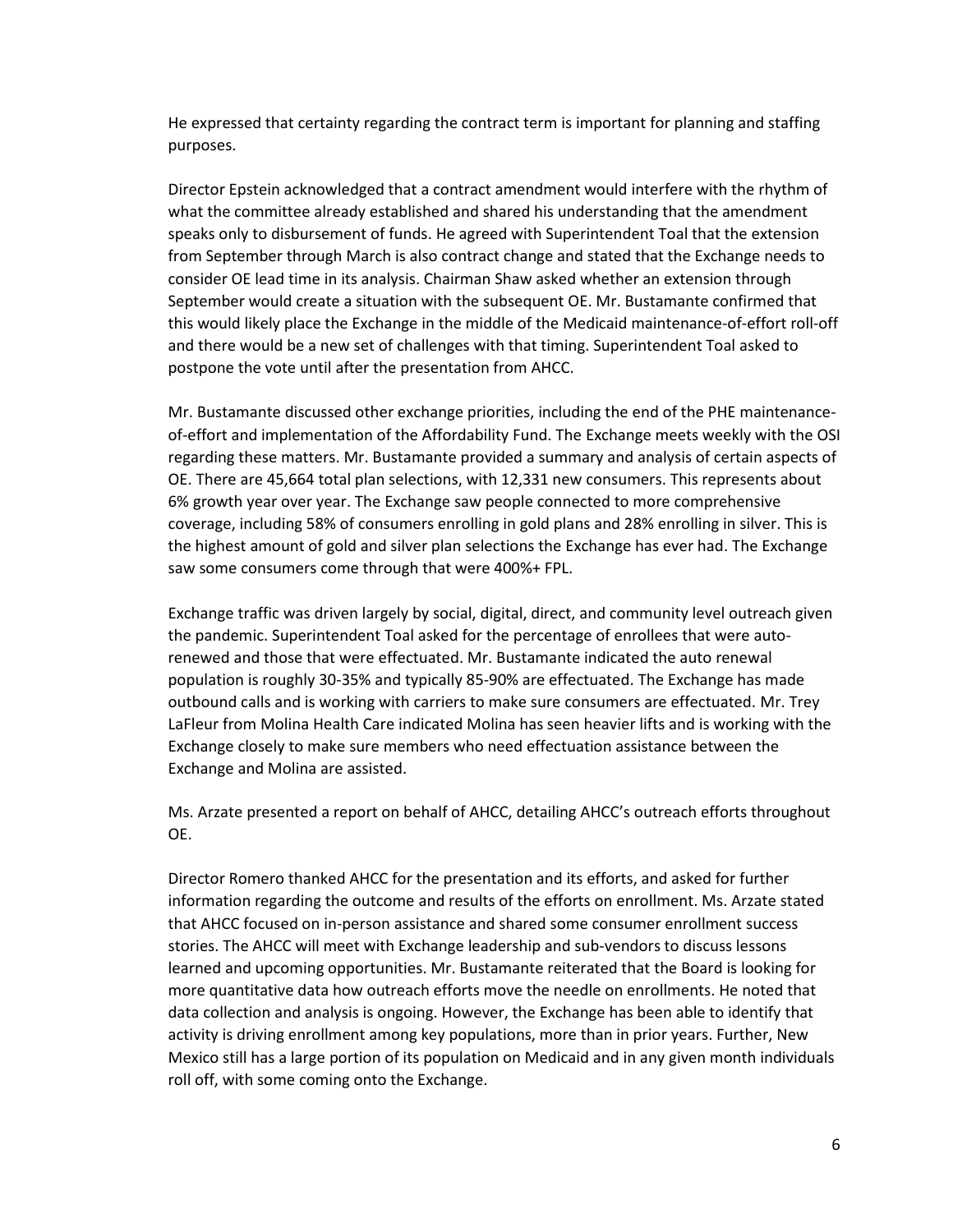He expressed that certainty regarding the contract term is important for planning and staffing purposes.

Director Epstein acknowledged that a contract amendment would interfere with the rhythm of what the committee already established and shared his understanding that the amendment speaks only to disbursement of funds. He agreed with Superintendent Toal that the extension from September through March is also contract change and stated that the Exchange needs to consider OE lead time in its analysis. Chairman Shaw asked whether an extension through September would create a situation with the subsequent OE. Mr. Bustamante confirmed that this would likely place the Exchange in the middle of the Medicaid maintenance-of-effort roll-off and there would be a new set of challenges with that timing. Superintendent Toal asked to postpone the vote until after the presentation from AHCC.

Mr. Bustamante discussed other exchange priorities, including the end of the PHE maintenanceof-effort and implementation of the Affordability Fund. The Exchange meets weekly with the OSI regarding these matters. Mr. Bustamante provided a summary and analysis of certain aspects of OE. There are 45,664 total plan selections, with 12,331 new consumers. This represents about 6% growth year over year. The Exchange saw people connected to more comprehensive coverage, including 58% of consumers enrolling in gold plans and 28% enrolling in silver. This is the highest amount of gold and silver plan selections the Exchange has ever had. The Exchange saw some consumers come through that were 400%+ FPL.

Exchange traffic was driven largely by social, digital, direct, and community level outreach given the pandemic. Superintendent Toal asked for the percentage of enrollees that were autorenewed and those that were effectuated. Mr. Bustamante indicated the auto renewal population is roughly 30-35% and typically 85-90% are effectuated. The Exchange has made outbound calls and is working with carriers to make sure consumers are effectuated. Mr. Trey LaFleur from Molina Health Care indicated Molina has seen heavier lifts and is working with the Exchange closely to make sure members who need effectuation assistance between the Exchange and Molina are assisted.

Ms. Arzate presented a report on behalf of AHCC, detailing AHCC's outreach efforts throughout OE.

Director Romero thanked AHCC for the presentation and its efforts, and asked for further information regarding the outcome and results of the efforts on enrollment. Ms. Arzate stated that AHCC focused on in-person assistance and shared some consumer enrollment success stories. The AHCC will meet with Exchange leadership and sub-vendors to discuss lessons learned and upcoming opportunities. Mr. Bustamante reiterated that the Board is looking for more quantitative data how outreach efforts move the needle on enrollments. He noted that data collection and analysis is ongoing. However, the Exchange has been able to identify that activity is driving enrollment among key populations, more than in prior years. Further, New Mexico still has a large portion of its population on Medicaid and in any given month individuals roll off, with some coming onto the Exchange.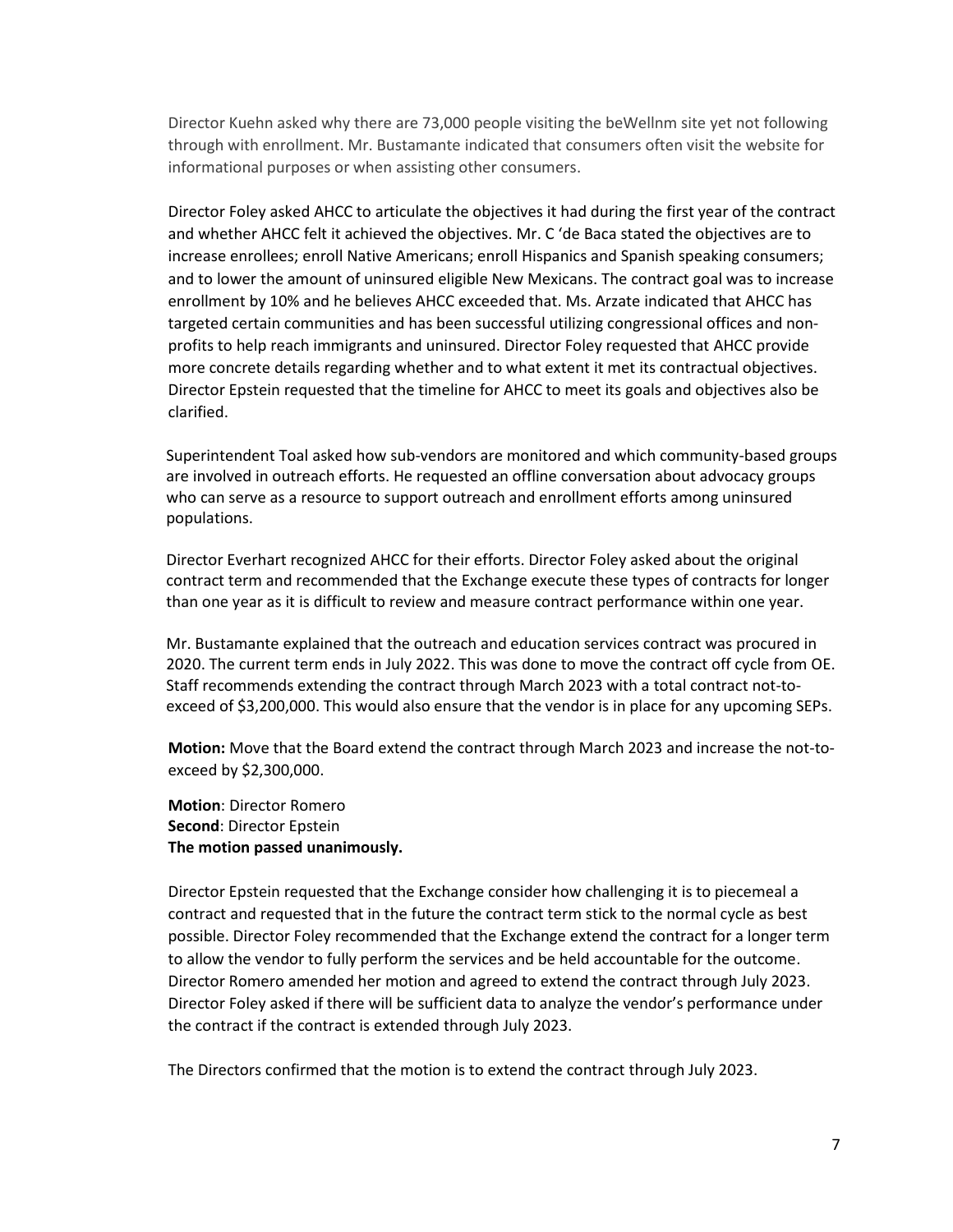Director Kuehn asked why there are 73,000 people visiting the beWellnm site yet not following through with enrollment. Mr. Bustamante indicated that consumers often visit the website for informational purposes or when assisting other consumers.

Director Foley asked AHCC to articulate the objectives it had during the first year of the contract and whether AHCC felt it achieved the objectives. Mr. C 'de Baca stated the objectives are to increase enrollees; enroll Native Americans; enroll Hispanics and Spanish speaking consumers; and to lower the amount of uninsured eligible New Mexicans. The contract goal was to increase enrollment by 10% and he believes AHCC exceeded that. Ms. Arzate indicated that AHCC has targeted certain communities and has been successful utilizing congressional offices and nonprofits to help reach immigrants and uninsured. Director Foley requested that AHCC provide more concrete details regarding whether and to what extent it met its contractual objectives. Director Epstein requested that the timeline for AHCC to meet its goals and objectives also be clarified.

Superintendent Toal asked how sub-vendors are monitored and which community-based groups are involved in outreach efforts. He requested an offline conversation about advocacy groups who can serve as a resource to support outreach and enrollment efforts among uninsured populations.

Director Everhart recognized AHCC for their efforts. Director Foley asked about the original contract term and recommended that the Exchange execute these types of contracts for longer than one year as it is difficult to review and measure contract performance within one year.

Mr. Bustamante explained that the outreach and education services contract was procured in 2020. The current term ends in July 2022. This was done to move the contract off cycle from OE. Staff recommends extending the contract through March 2023 with a total contract not-toexceed of \$3,200,000. This would also ensure that the vendor is in place for any upcoming SEPs.

**Motion:** Move that the Board extend the contract through March 2023 and increase the not-toexceed by \$2,300,000.

**Motion**: Director Romero **Second**: Director Epstein **The motion passed unanimously.**

Director Epstein requested that the Exchange consider how challenging it is to piecemeal a contract and requested that in the future the contract term stick to the normal cycle as best possible. Director Foley recommended that the Exchange extend the contract for a longer term to allow the vendor to fully perform the services and be held accountable for the outcome. Director Romero amended her motion and agreed to extend the contract through July 2023. Director Foley asked if there will be sufficient data to analyze the vendor's performance under the contract if the contract is extended through July 2023.

The Directors confirmed that the motion is to extend the contract through July 2023.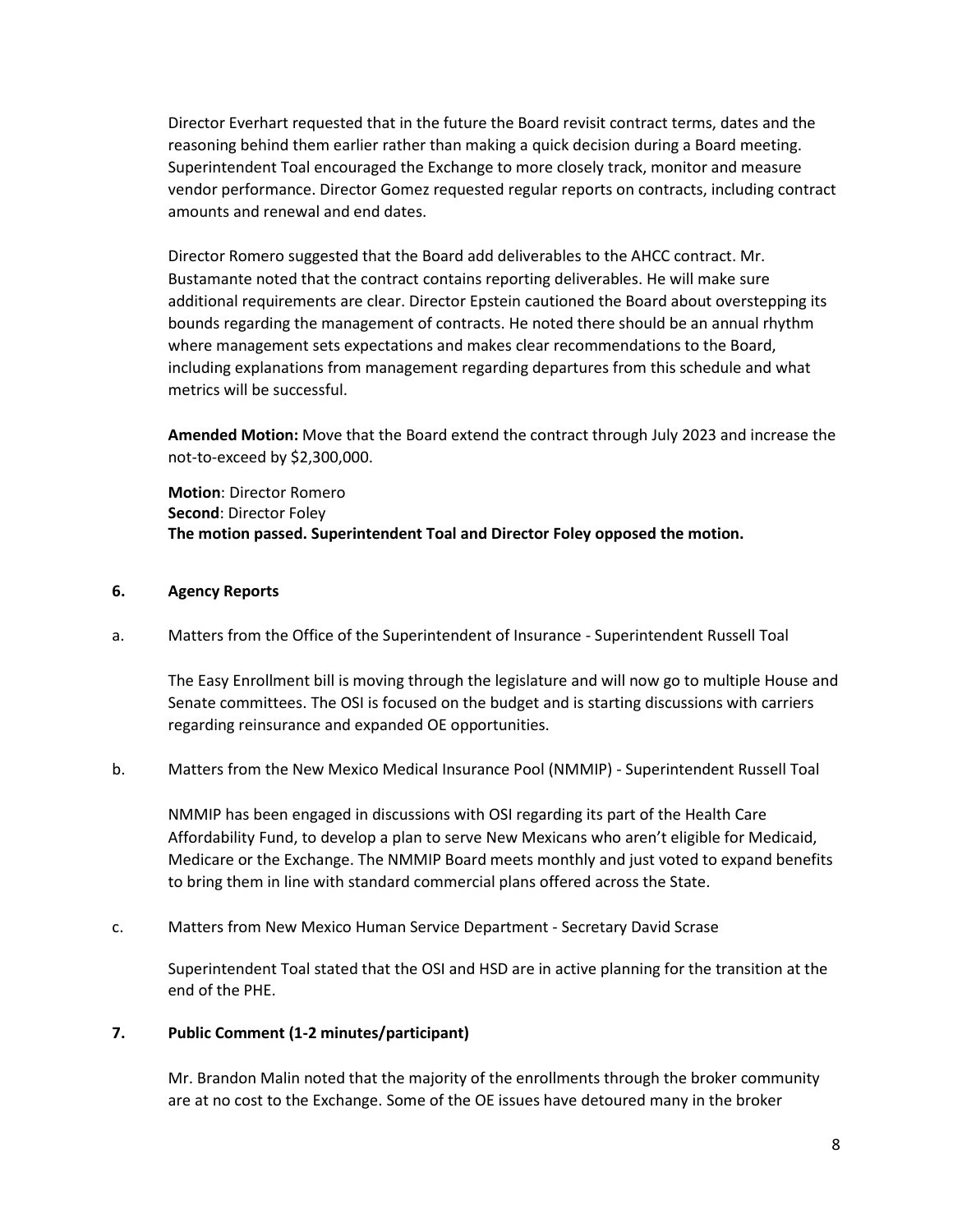Director Everhart requested that in the future the Board revisit contract terms, dates and the reasoning behind them earlier rather than making a quick decision during a Board meeting. Superintendent Toal encouraged the Exchange to more closely track, monitor and measure vendor performance. Director Gomez requested regular reports on contracts, including contract amounts and renewal and end dates.

Director Romero suggested that the Board add deliverables to the AHCC contract. Mr. Bustamante noted that the contract contains reporting deliverables. He will make sure additional requirements are clear. Director Epstein cautioned the Board about overstepping its bounds regarding the management of contracts. He noted there should be an annual rhythm where management sets expectations and makes clear recommendations to the Board, including explanations from management regarding departures from this schedule and what metrics will be successful.

**Amended Motion:** Move that the Board extend the contract through July 2023 and increase the not-to-exceed by \$2,300,000.

**Motion**: Director Romero **Second**: Director Foley **The motion passed. Superintendent Toal and Director Foley opposed the motion.**

# **6. Agency Reports**

a. Matters from the Office of the Superintendent of Insurance - Superintendent Russell Toal

The Easy Enrollment bill is moving through the legislature and will now go to multiple House and Senate committees. The OSI is focused on the budget and is starting discussions with carriers regarding reinsurance and expanded OE opportunities.

b. Matters from the New Mexico Medical Insurance Pool (NMMIP) - Superintendent Russell Toal

NMMIP has been engaged in discussions with OSI regarding its part of the Health Care Affordability Fund, to develop a plan to serve New Mexicans who aren't eligible for Medicaid, Medicare or the Exchange. The NMMIP Board meets monthly and just voted to expand benefits to bring them in line with standard commercial plans offered across the State.

c. Matters from New Mexico Human Service Department - Secretary David Scrase

Superintendent Toal stated that the OSI and HSD are in active planning for the transition at the end of the PHE.

# **7. Public Comment (1-2 minutes/participant)**

Mr. Brandon Malin noted that the majority of the enrollments through the broker community are at no cost to the Exchange. Some of the OE issues have detoured many in the broker